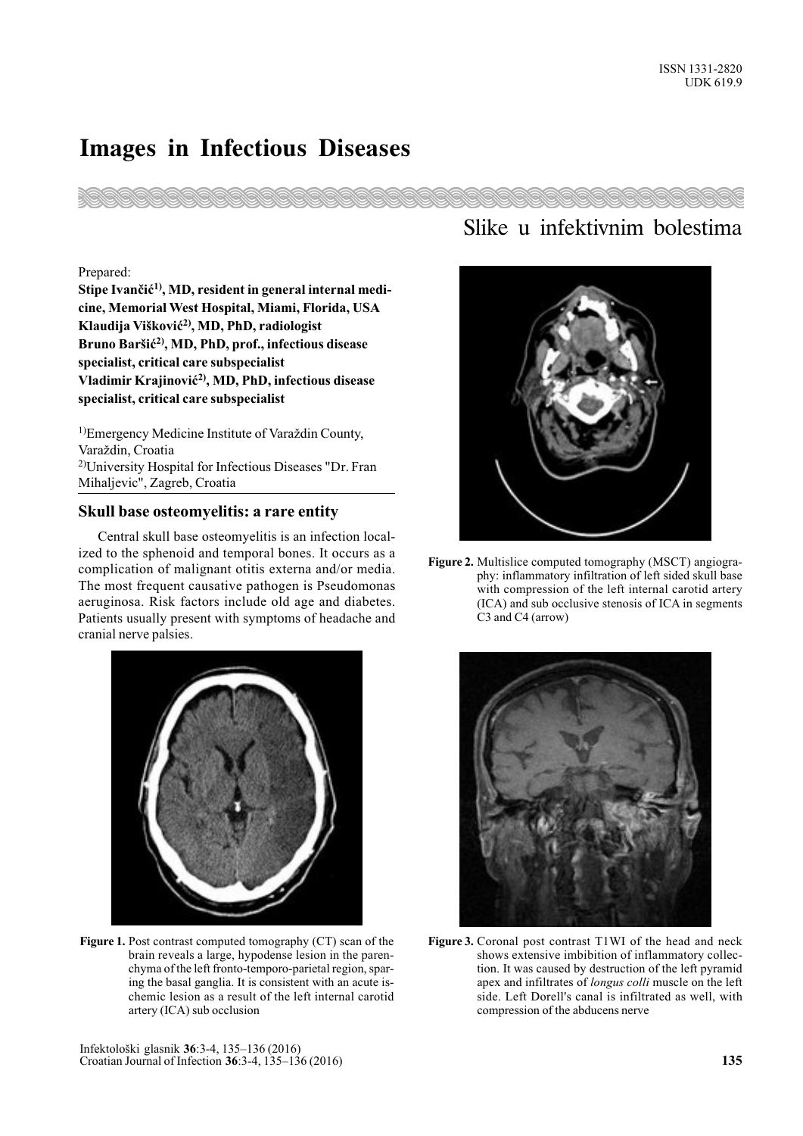## Images in Infectious Diseases



## Prepared:

Stipe Ivančić<sup>1)</sup>, MD, resident in general internal medicine, Memorial West Hospital, Miami, Florida, USA Klaudija Višković<sup>2)</sup>, MD, PhD, radiologist Bruno Baršić<sup>2)</sup>, MD, PhD, prof., infectious disease specialist, critical care subspecialist Vladimir Krajinović<sup>2)</sup>, MD, PhD, infectious disease specialist, critical care subspecialist

<sup>1)</sup>Emergency Medicine Institute of Varaždin County, Varaždin, Croatia 2)University Hospital for Infectious Diseases "Dr. Fran Mihaljevic", Zagreb, Croatia

## Skull base osteomyelitis: a rare entity

Central skull base osteomyelitis is an infection localized to the sphenoid and temporal bones. It occurs as a complication of malignant otitis externa and/or media. The most frequent causative pathogen is Pseudomonas aeruginosa. Risk factors include old age and diabetes. Patients usually present with symptoms of headache and cranial nerve palsies.



Figure 1. Post contrast computed tomography (CT) scan of the brain reveals a large, hypodense lesion in the parenchyma of the left fronto-temporo-parietal region, sparing the basal ganglia. It is consistent with an acute ischemic lesion as a result of the left internal carotid artery (ICA) sub occlusion

## Slike u infektivnim bolestima



Figure 2. Multislice computed tomography (MSCT) angiography: inflammatory infiltration of left sided skull base with compression of the left internal carotid artery (ICA) and sub occlusive stenosis of ICA in segments C3 and C4 (arrow)



Figure 3. Coronal post contrast T1WI of the head and neck shows extensive imbibition of inflammatory collection. It was caused by destruction of the left pyramid apex and infiltrates of longus colli muscle on the left side. Left Dorell's canal is infiltrated as well, with compression of the abducens nerve